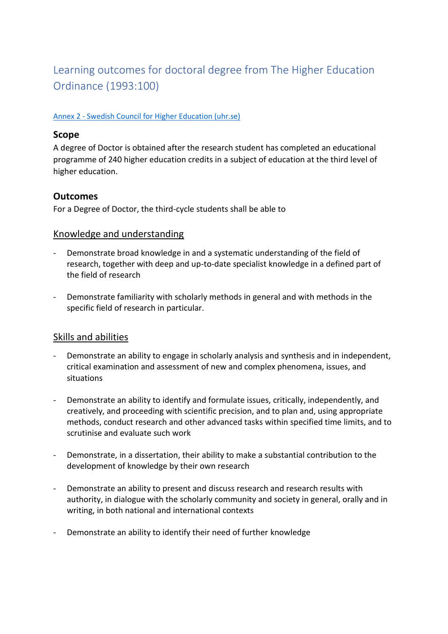# Learning outcomes for doctoral degree from The Higher Education Ordinance (1993:100)

#### Annex 2 - [Swedish Council for Higher Education \(uhr.se\)](https://www.uhr.se/en/start/laws-and-regulations/Laws-and-regulations/The-Higher-Education-Ordinance/Annex-2/#Doctor)

#### **Scope**

A degree of Doctor is obtained after the research student has completed an educational programme of 240 higher education credits in a subject of education at the third level of higher education.

## **Outcomes**

For a Degree of Doctor, the third-cycle students shall be able to

#### Knowledge and understanding

- Demonstrate broad knowledge in and a systematic understanding of the field of research, together with deep and up-to-date specialist knowledge in a defined part of the field of research
- Demonstrate familiarity with scholarly methods in general and with methods in the specific field of research in particular.

## Skills and abilities

- Demonstrate an ability to engage in scholarly analysis and synthesis and in independent, critical examination and assessment of new and complex phenomena, issues, and situations
- Demonstrate an ability to identify and formulate issues, critically, independently, and creatively, and proceeding with scientific precision, and to plan and, using appropriate methods, conduct research and other advanced tasks within specified time limits, and to scrutinise and evaluate such work
- Demonstrate, in a dissertation, their ability to make a substantial contribution to the development of knowledge by their own research
- Demonstrate an ability to present and discuss research and research results with authority, in dialogue with the scholarly community and society in general, orally and in writing, in both national and international contexts
- Demonstrate an ability to identify their need of further knowledge